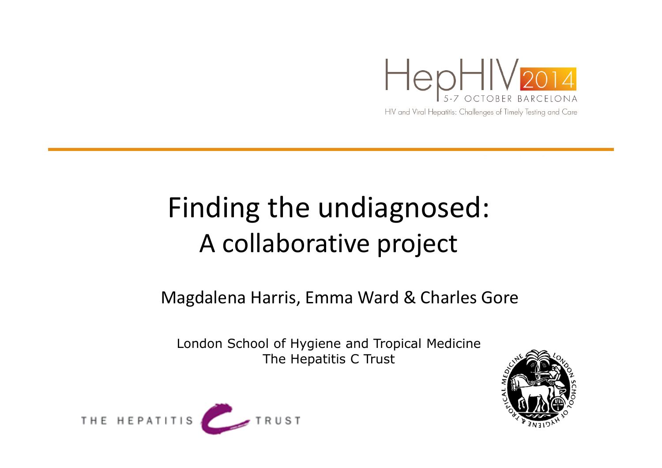

#### Finding the undiagnosed: <sup>A</sup> collaborative project

#### Magdalena Harris, Emma Ward & Charles Gore

London School of Hygiene and Tropical MedicineThe Hepatitis C Trust



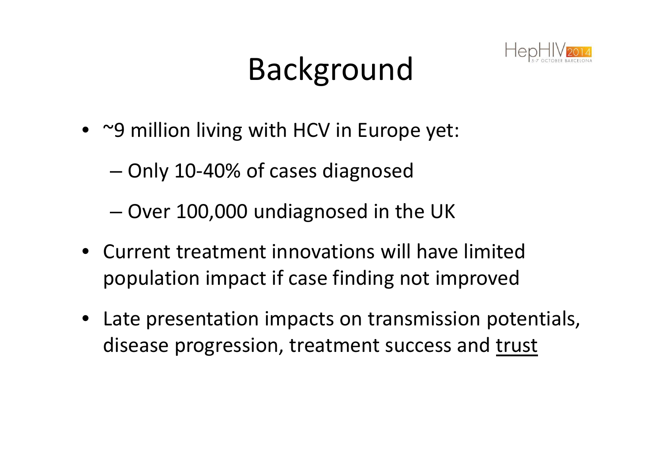#### Background



- ~9 million living with HCV in Europe yet:
	- and the state of – Only 10-40% of cases diagnosed
	- and the state of the state  $-$  Over 100,000 undiagnosed in the UK
- Current treatment innovations will have limited population impact if case finding not improved
- Late presentation impacts on transmission potentials, disease progression, treatment success and trust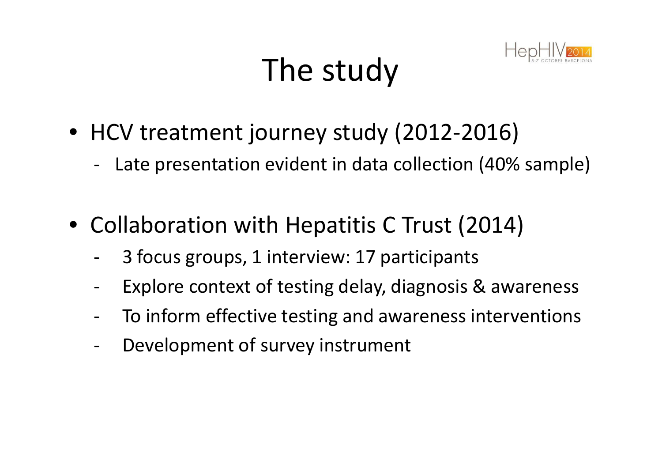## The study



- HCV treatment journey study (2012-2016)
	- -Late presentation evident in data collection (40% sample)
- Collaboration with Hepatitis C Trust (2014)
	- -3 focus groups, 1 interview: 17 participants
	- -Explore context of testing delay, diagnosis & awareness
	- -To inform effective testing and awareness interventions
	- -Development of survey instrument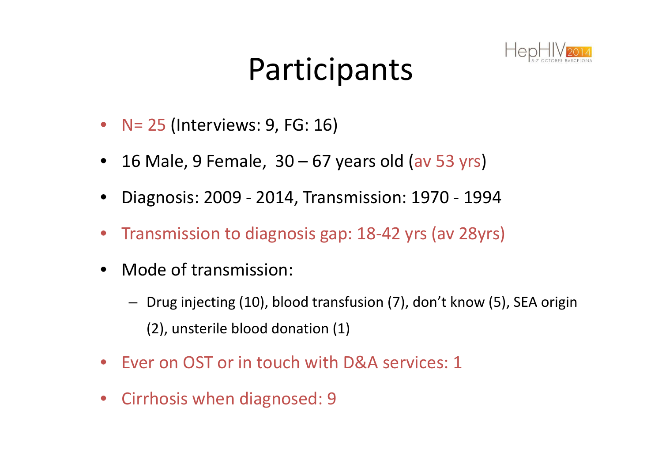#### Participants



- $\bullet$ N= 25 (Interviews: 9, FG: 16)
- $\bullet$ 16 Male, 9 Female, 30 – 67 years old (av 53 yrs)
- •Diagnosis: 2009 - 2014, Transmission: 1970 - <sup>1994</sup>
- •Transmission to diagnosis gap: 18-42 yrs (av 28yrs)
- $\bullet$  Mode of transmission:
	- Drug injecting (10), blood transfusion (7), don't know (5), SEA origin (2), unsterile blood donation (1)
- $\bullet$ Ever on OST or in touch with D&A services: 1
- $\bullet$ Cirrhosis when diagnosed: 9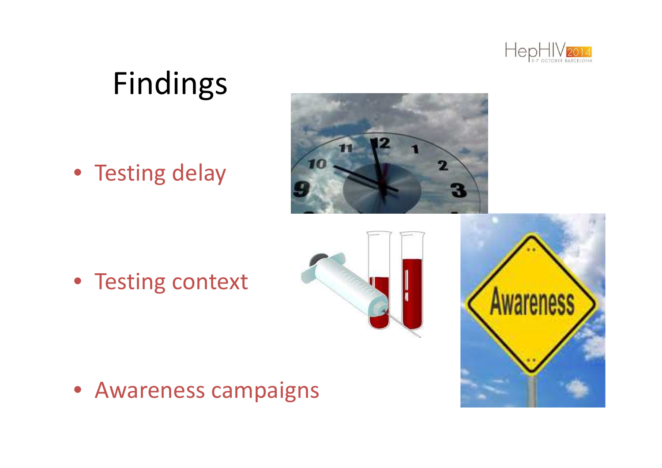

#### Findings

• Testing delay



• Testing context





• Awareness campaigns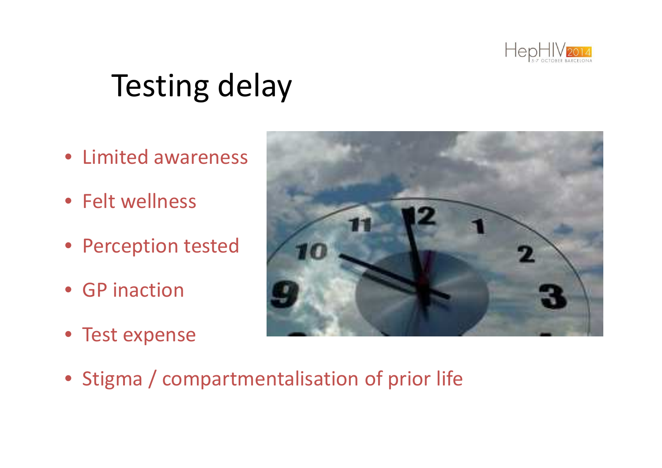

#### Testing delay

- Limited awareness
- Felt wellness
- Perception tested
- GP inaction
- Test expense



• Stigma / compartmentalisation of prior life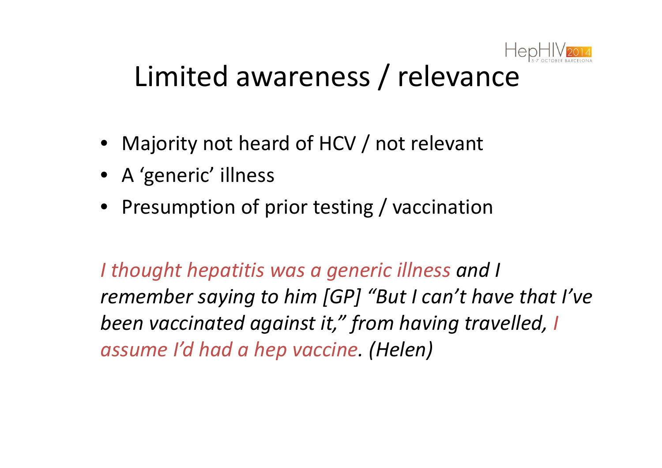

#### Limited awareness / relevance

- Majority not heard of HCV / not relevant
- A 'generic' illness
- Presumption of prior testing / vaccination

*I thought hepatitis was a generic illness and I remember saying to him [GP] "But I can't have that I've been vaccinated against it," from having travelled, I assume I'd had a hep vaccine. (Helen)*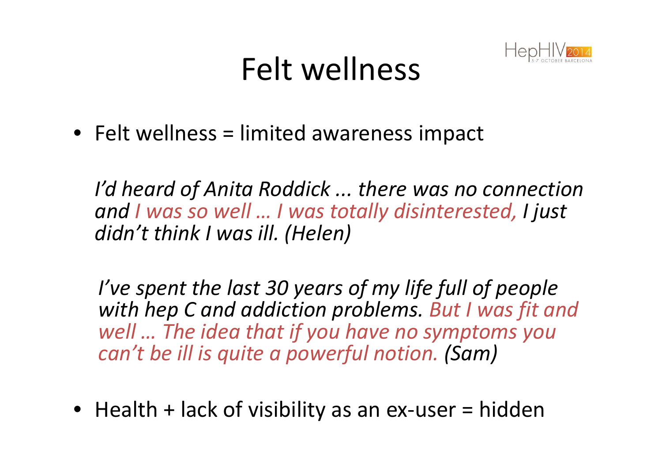#### Felt wellness



• Felt wellness = limited awareness impact

*I'd heard of Anita Roddick ... there was no connectionand I was so well … I was totally disinterested, I just didn't think I was ill. (Helen)*

*I've spent the last 30 years of my life full of people with hep C and addiction problems. But I was fit and well … The idea that if you have no symptoms you can't be ill is quite a powerful notion. (Sam)*

• Health + lack of visibility as an ex-user = hidden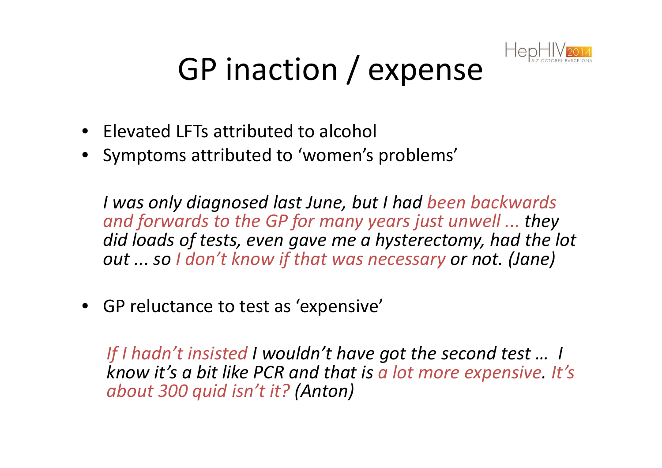

## GP inaction / expense

- Elevated LFTs attributed to alcohol
- Symptoms attributed to 'women's problems'

*I was only diagnosed last June, but I had been backwards and forwards to the GP for many years just unwell ... they did loads of tests, even gave me a hysterectomy, had the lot out ... so I don't know if that was necessary or not. (Jane)*

• GP reluctance to test as 'expensive'

*If I hadn't insisted I wouldn't have got the second test … I know it's a bit like PCR and that is a lot more expensive. It's about 300 quid isn't it? (Anton)*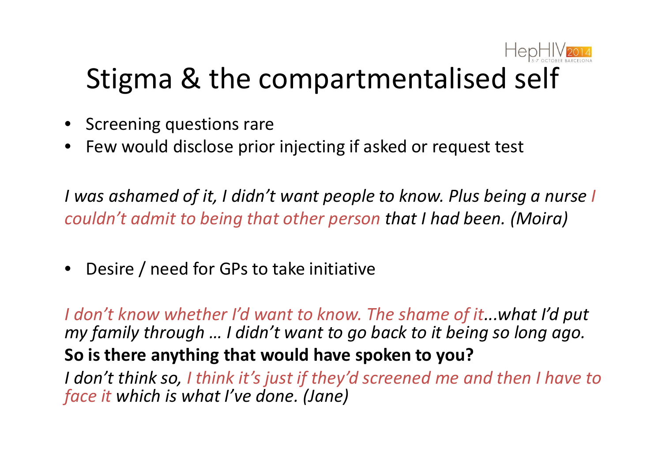

#### Stigma & the compartmentalised self

- Screening questions rare
- $\bullet$ Few would disclose prior injecting if asked or request test

*I was ashamed of it, I didn't want people to know. Plus being a nurse I couldn't admit to being that other person that I had been. (Moira)*

 $\bullet$ Desire / need for GPs to take initiative

*I don't know whether I'd want to know. The shame of it...what I'd put my family through … I didn't want to go back to it being so long ago.***So is there anything that would have spoken to you?**

 *I don't think so, I think it's just if they'd screened me and then I have to face it which is what I've done. (Jane)*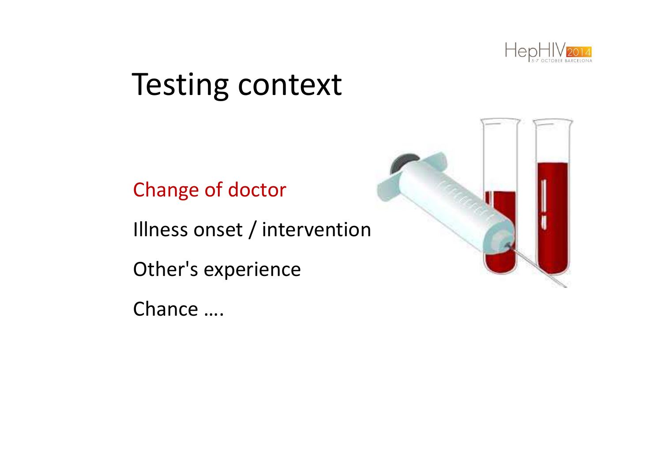

#### **Testing context**

Change of doctor

Illness onset / intervention

Other's experience

Chance ....

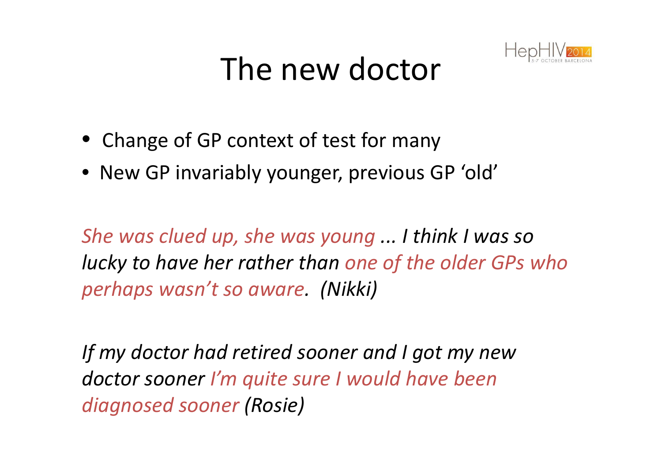#### The new doctor



- Change of GP context of test for many
- New GP invariably younger, previous GP 'old'

*She was clued up, she was young ... I think I was so lucky to have her rather than one of the older GPs who perhaps wasn't so aware. (Nikki)*

*If my doctor had retired sooner and I got my new doctor sooner I'm quite sure I would have been diagnosed sooner (Rosie)*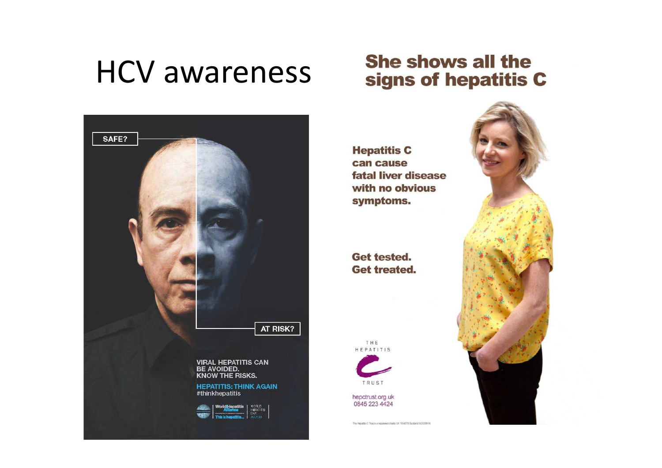#### **HCV awareness**



#### **She shows all the** signs of hepatitis C

**Hepatitis C** can cause fatal liver disease with no obvious symptoms.

**Get tested. Get treated.** 

THE HEPATITIS



hepctrust.org.uk 0845 223 4424

The Repaths C Trust is a registered charity UK 1104279 Sections 50038914

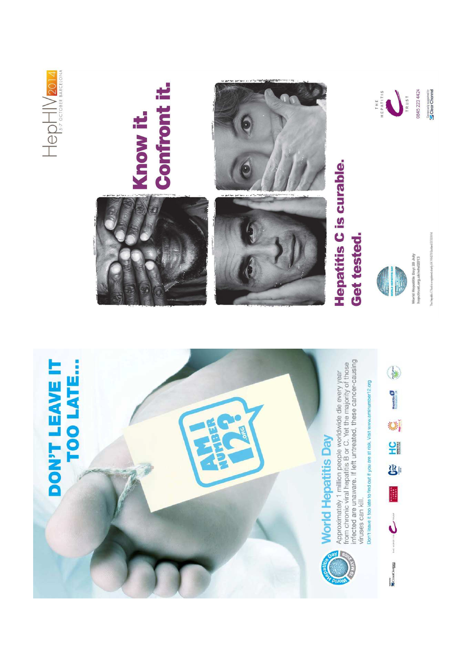



6





World Hepatitis Day: 28 July<br>hepctrust.org.uk/whd2013



THE PATTIS

0845 223 4424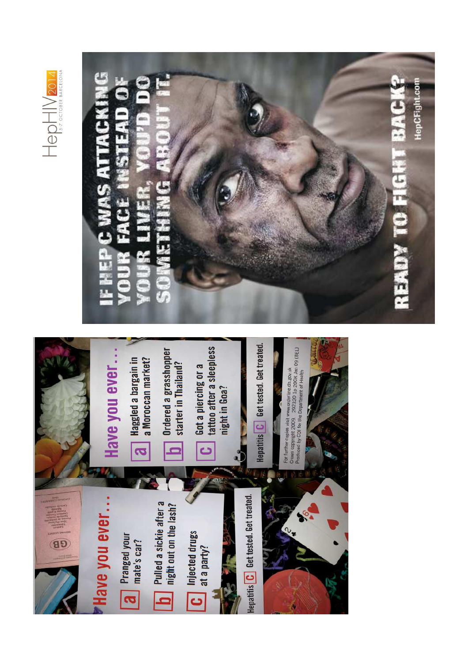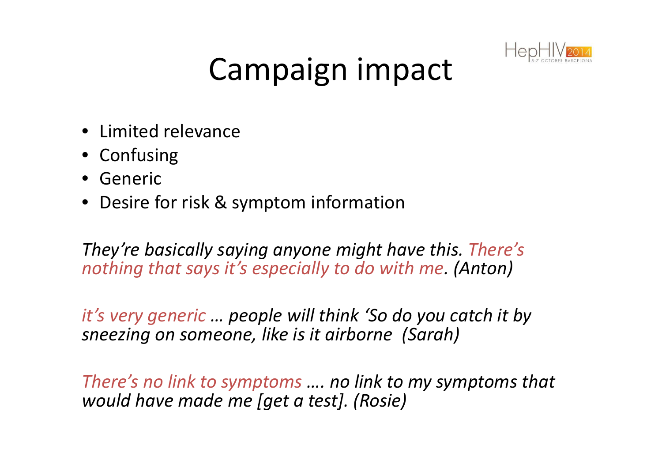

#### Campaign impact

- Limited relevance
- Confusing
- Generic
- Desire for risk & symptom information

*They're basically saying anyone might have this. There's nothing that says it's especially to do with me. (Anton)*

*it's very generic … people will think 'So do you catch it by sneezing on someone, like is it airborne (Sarah)*

*There's no link to symptoms …. no link to my symptoms that would have made me [get a test]. (Rosie)*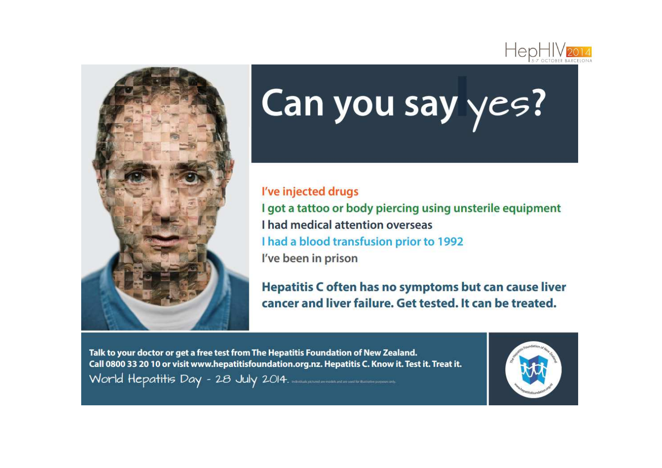



# Can you say yes?

#### I've injected drugs

I got a tattoo or body piercing using unsterile equipment I had medical attention overseas I had a blood transfusion prior to 1992 I've been in prison

Hepatitis C often has no symptoms but can cause liver cancer and liver failure. Get tested, It can be treated.

Talk to your doctor or get a free test from The Hepatitis Foundation of New Zealand. Call 0800 33 20 10 or visit www.hepatitisfoundation.org.nz. Hepatitis C. Know it. Test it. Treat it. World Hepatitis Day - 28 July 2014. International and and the matter parameter of

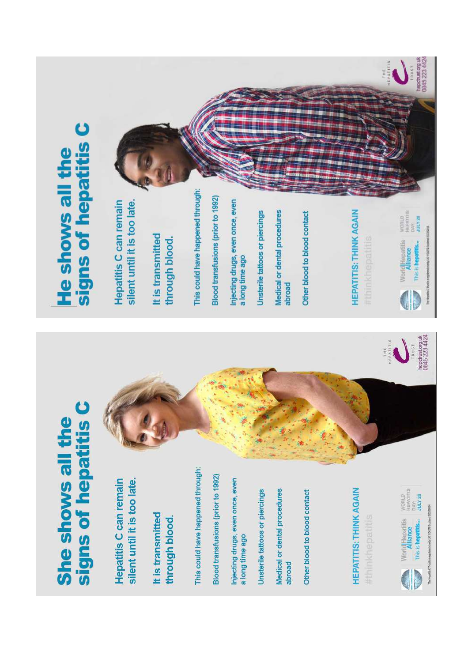# She shows all the<br>signs of hepatitis C

silent until it is too late. Hepatitis C can remain

It is transmitted through blood. This could have happened through:

Blood transfusions (prior to 1992)

Injecting drugs, even once, even a long time ago

Unsterile tattoos or piercings

Medical or dental procedures abroad Other blood to blood contact

**HEPATITIS: THINK AGAIN** 

#thinkhepatitis





# signs of hepatitis C He shows all the

Hepatitis C can remain silent until it is too late.

It is transmitted through blood. This could have happened through:

Blood transfusions (prior to 1992)

Injecting drugs, even once, even a long time ago

Unsterile tattoos or piercings

Medical or dental procedures abroad

Other blood to blood contact

**HEPATITIS: THINK AGAIN** 

d

WorldHepatitis world<br>Alliance<br>This is hepatitis... Jury 28 JULY 28 help UK filston authorizationally The Heatten C That's 

 $T R v S T$ 

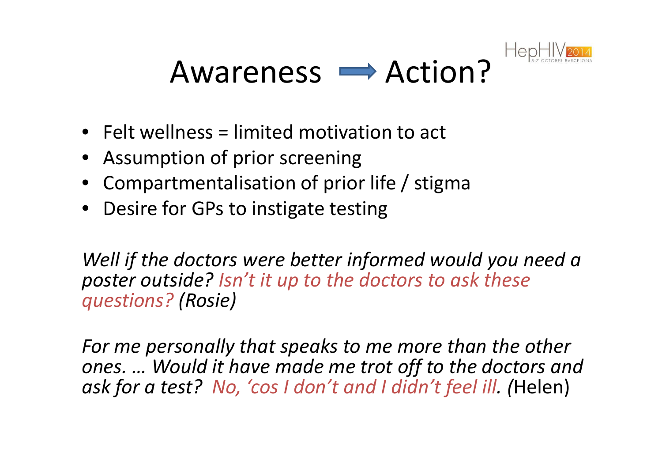

#### Awareness  $\rightarrow$  Action?

- Felt wellness = limited motivation to act
- Assumption of prior screening
- Compartmentalisation of prior life / stigma
- Desire for GPs to instigate testing

*Well if the doctors were better informed would you need a poster outside? Isn't it up to the doctors to ask these questions? (Rosie)*

*For me personally that speaks to me more than the other ones. … Would it have made me trot off to the doctors and ask for a test? No, 'cos I don't and I didn't feel ill. (*Helen)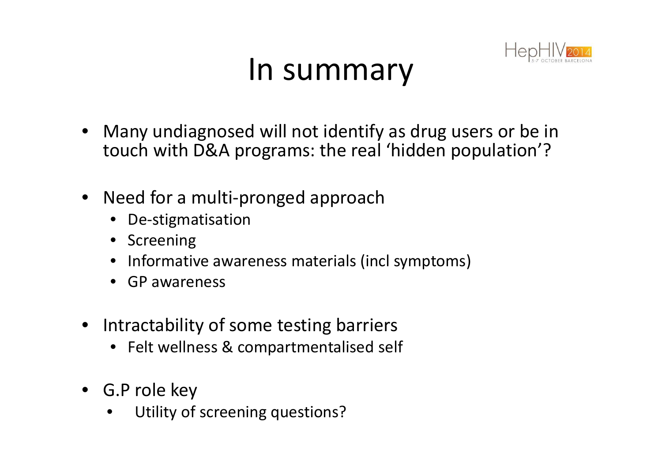#### In summary



- • Many undiagnosed will not identify as drug users or be in touch with D&A programs: the real 'hidden population'?
- Need for a multi-pronged approach
	- De-stigmatisation
	- •Screening
	- Informative awareness materials (incl symptoms)
	- GP awareness
- Intractability of some testing barriers
	- Felt wellness & compartmentalised self
- G.P role key
	- Utility of screening questions? $\bullet$